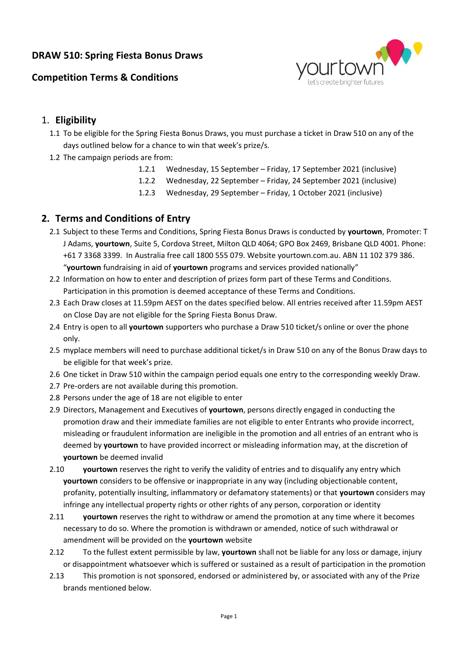### **DRAW 510: Spring Fiesta Bonus Draws**



# **Competition Terms & Conditions**

### 1. **Eligibility**

- 1.1 To be eligible for the Spring Fiesta Bonus Draws, you must purchase a ticket in Draw 510 on any of the days outlined below for a chance to win that week's prize/s.
- 1.2 The campaign periods are from:
	- 1.2.1 Wednesday, 15 September Friday, 17 September 2021 (inclusive)
	- 1.2.2 Wednesday, 22 September Friday, 24 September 2021 (inclusive)
	- 1.2.3 Wednesday, 29 September Friday, 1 October 2021 (inclusive)

### **2. Terms and Conditions of Entry**

- 2.1 Subject to these Terms and Conditions, Spring Fiesta Bonus Draws is conducted by **yourtown**, Promoter: T J Adams, **yourtown**, Suite 5, Cordova Street, Milton QLD 4064; GPO Box 2469, Brisbane QLD 4001. Phone: +61 7 3368 3399. In Australia free call 1800 555 079. Website yourtown.com.au. ABN 11 102 379 386. "**yourtown** fundraising in aid of **yourtown** programs and services provided nationally"
- 2.2 Information on how to enter and description of prizes form part of these Terms and Conditions. Participation in this promotion is deemed acceptance of these Terms and Conditions.
- 2.3 Each Draw closes at 11.59pm AEST on the dates specified below. All entries received after 11.59pm AEST on Close Day are not eligible for the Spring Fiesta Bonus Draw.
- 2.4 Entry is open to all **yourtown** supporters who purchase a Draw 510 ticket/s online or over the phone only.
- 2.5 myplace members will need to purchase additional ticket/s in Draw 510 on any of the Bonus Draw days to be eligible for that week's prize.
- 2.6 One ticket in Draw 510 within the campaign period equals one entry to the corresponding weekly Draw.
- 2.7 Pre-orders are not available during this promotion.
- 2.8 Persons under the age of 18 are not eligible to enter
- 2.9 Directors, Management and Executives of **yourtown**, persons directly engaged in conducting the promotion draw and their immediate families are not eligible to enter Entrants who provide incorrect, misleading or fraudulent information are ineligible in the promotion and all entries of an entrant who is deemed by **yourtown** to have provided incorrect or misleading information may, at the discretion of **yourtown** be deemed invalid
- 2.10 **yourtown** reserves the right to verify the validity of entries and to disqualify any entry which **yourtown** considers to be offensive or inappropriate in any way (including objectionable content, profanity, potentially insulting, inflammatory or defamatory statements) or that **yourtown** considers may infringe any intellectual property rights or other rights of any person, corporation or identity
- 2.11 **yourtown** reserves the right to withdraw or amend the promotion at any time where it becomes necessary to do so. Where the promotion is withdrawn or amended, notice of such withdrawal or amendment will be provided on the **yourtown** website
- 2.12 To the fullest extent permissible by law, **yourtown** shall not be liable for any loss or damage, injury or disappointment whatsoever which is suffered or sustained as a result of participation in the promotion
- 2.13 This promotion is not sponsored, endorsed or administered by, or associated with any of the Prize brands mentioned below.